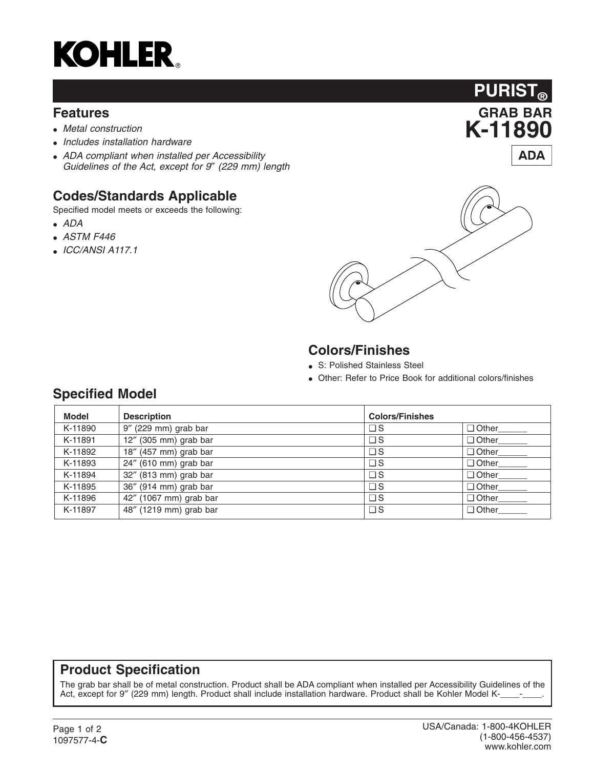

#### **Features**

- *Metal construction*
- *Includes installation hardware*
- *ADA compliant when installed per Accessibility Guidelines of the Act, except for 9*″ *(229 mm) length*

## **Codes/Standards Applicable**

Specified model meets or exceeds the following:

- *ADA*
- *ASTM F446*
- *ICC/ANSI A117.1*





## **Colors/Finishes**

- S: Polished Stainless Steel
- Other: Refer to Price Book for additional colors/finishes

### **Specified Model**

| <b>Model</b> | <b>Description</b>     | <b>Colors/Finishes</b> |              |
|--------------|------------------------|------------------------|--------------|
| K-11890      | 9" (229 mm) grab bar   | $\square$ S            | $\Box$ Other |
| K-11891      | 12" (305 mm) grab bar  | $\square$ S            | $\Box$ Other |
| K-11892      | 18" (457 mm) grab bar  | $\square$ S            | $\Box$ Other |
| K-11893      | 24" (610 mm) grab bar  | $\square$ S            | $\Box$ Other |
| K-11894      | 32" (813 mm) grab bar  | $\square$ S            | $\Box$ Other |
| K-11895      | 36" (914 mm) grab bar  | $\Box$ S               | $\Box$ Other |
| K-11896      | 42" (1067 mm) grab bar | $\Box$ S               | $\Box$ Other |
| K-11897      | 48" (1219 mm) grab bar | $\Box$ S               | $\Box$ Other |

#### **Product Specification**

The grab bar shall be of metal construction. Product shall be ADA compliant when installed per Accessibility Guidelines of the Act, except for 9" (229 mm) length. Product shall include installation hardware. Product shall be Kohler Model K-